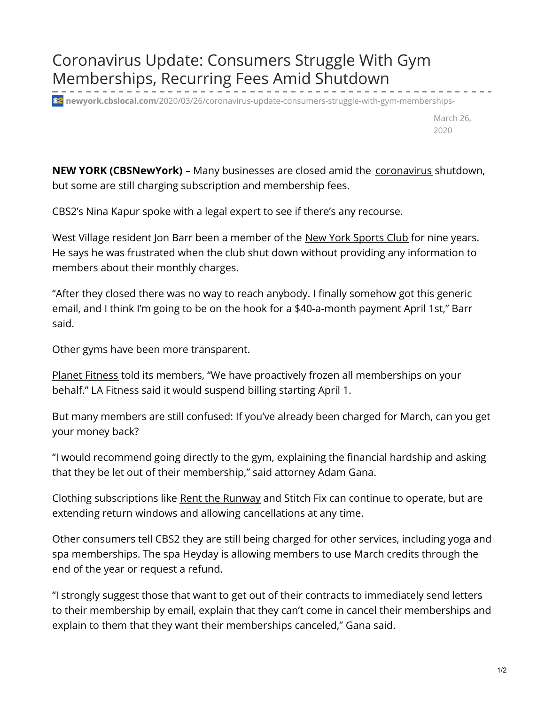## Coronavirus Update: Consumers Struggle With Gym Memberships, Recurring Fees Amid Shutdown

**<sup>32</sup> newyork.cbslocal.com**[/2020/03/26/coronavirus-update-consumers-struggle-with-gym-memberships-](https://newyork.cbslocal.com/2020/03/26/coronavirus-update-consumers-struggle-with-gym-memberships-recurring-fees-amid-shutdown/)

March 26, 2020

**NEW YORK (CBSNewYork)** – Many businesses are closed amid the [coronavirus](http://newyork.cbslocal.com/tag/coronavirus) shutdown, but some are still charging subscription and membership fees.

CBS2's Nina Kapur spoke with a legal expert to see if there's any recourse.

West Village resident Jon Barr been a member of the New York [Sports](http://newyork.cbslocal.com/tag/new-york-sports-club) Club for nine years. He says he was frustrated when the club shut down without providing any information to members about their monthly charges.

"After they closed there was no way to reach anybody. I finally somehow got this generic email, and I think I'm going to be on the hook for a \$40-a-month payment April 1st," Barr said.

Other gyms have been more transparent.

Planet [Fitness](http://newyork.cbslocal.com/tag/planet-fitness) told its members, "We have proactively frozen all memberships on your behalf." LA Fitness said it would suspend billing starting April 1.

But many members are still confused: If you've already been charged for March, can you get your money back?

"I would recommend going directly to the gym, explaining the financial hardship and asking that they be let out of their membership," said attorney Adam Gana.

Clothing subscriptions like Rent the [Runway](http://newyork.cbslocal.com/tag/rent-the-runway) and Stitch Fix can continue to operate, but are extending return windows and allowing cancellations at any time.

Other consumers tell CBS2 they are still being charged for other services, including yoga and spa memberships. The spa Heyday is allowing members to use March credits through the end of the year or request a refund.

"I strongly suggest those that want to get out of their contracts to immediately send letters to their membership by email, explain that they can't come in cancel their memberships and explain to them that they want their memberships canceled," Gana said.